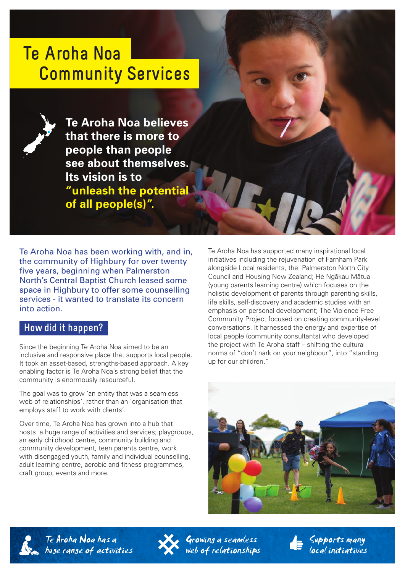# **Te Aroha Noa Community Services**

**Te Aroha Noa believes that there is more to people than people see about themselves. Its vision is to "unleash the potential of all people(s)".** 

Te Aroha Noa has been working with, and in, the community of Highbury for over twenty five years, beginning when Palmerston North's Central Baptist Church leased some space in Highbury to offer some counselling services - it wanted to translate its concern into action.

## **How did it happen?**

Since the beginning Te Aroha Noa aimed to be an inclusive and responsive place that supports local people. It took an asset-based, strengths-based approach. A key enabling factor is Te Aroha Noa's strong belief that the community is enormously resourceful.

The goal was to grow 'an entity that was a seamless web of relationships', rather than an 'organisation that employs staff to work with clients'.

Over time, Te Aroha Noa has grown into a hub that hosts a huge range of activities and services; playgroups, an early childhood centre, community building and community development, teen parents centre, work with disengaged youth, family and individual counselling. adult learning centre, aerobic and fitness programmes, craft group, events and more.

Te Aroha Noa has supported many inspirational local initiatives including the rejuvenation of Farnham Park alongside Local residents, the Palmerston North City Council and Housing New Zealand; He Ngākau Mātua (young parents learning centre) which focuses on the holistic development of parents through parenting skills, life skills, self-discovery and academic studies with an emphasis on personal development; The Violence Free Community Project focused on creating community-level conversations. It harnessed the energy and expertise of local people (community consultants) who developed the project with Te Aroha staff – shifting the cultural norms of "don't nark on your neighbour", into "standing up for our children."







growing a seamless  $we$  of relationships  $S$ uppurts many local initiatives